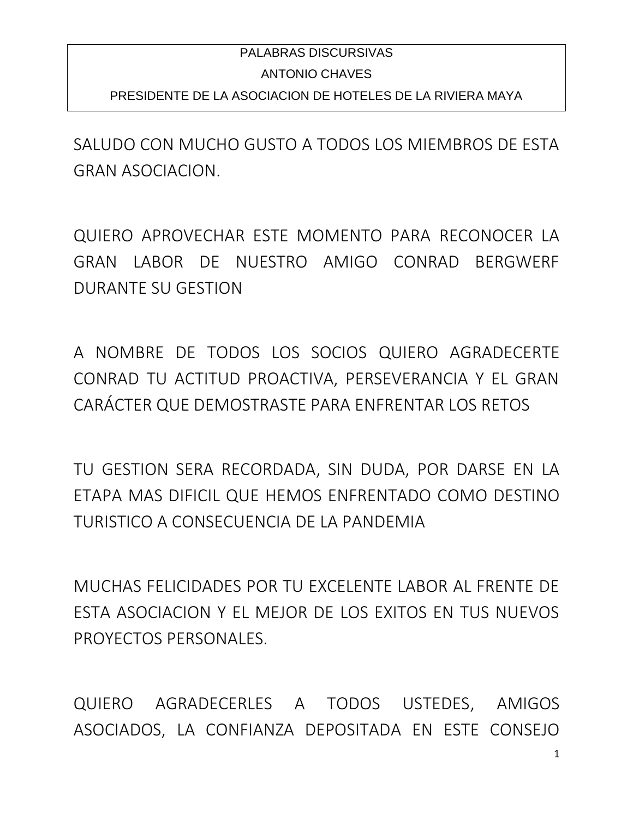## PALABRAS DISCURSIVAS ANTONIO CHAVES PRESIDENTE DE LA ASOCIACION DE HOTELES DE LA RIVIERA MAYA

SALUDO CON MUCHO GUSTO A TODOS LOS MIEMBROS DE ESTA GRAN ASOCIACION.

QUIERO APROVECHAR ESTE MOMENTO PARA RECONOCER LA GRAN LABOR DE NUESTRO AMIGO CONRAD BERGWERF DURANTE SU GESTION

A NOMBRE DE TODOS LOS SOCIOS QUIERO AGRADECERTE CONRAD TU ACTITUD PROACTIVA, PERSEVERANCIA Y EL GRAN CARÁCTER QUE DEMOSTRASTE PARA ENFRENTAR LOS RETOS

TU GESTION SERA RECORDADA, SIN DUDA, POR DARSE EN LA ETAPA MAS DIFICIL QUE HEMOS ENFRENTADO COMO DESTINO TURISTICO A CONSECUENCIA DE LA PANDEMIA

MUCHAS FELICIDADES POR TU EXCELENTE LABOR AL FRENTE DE ESTA ASOCIACION Y EL MEJOR DE LOS EXITOS EN TUS NUEVOS PROYECTOS PERSONALES.

QUIERO AGRADECERLES A TODOS USTEDES, AMIGOS ASOCIADOS, LA CONFIANZA DEPOSITADA EN ESTE CONSEJO

1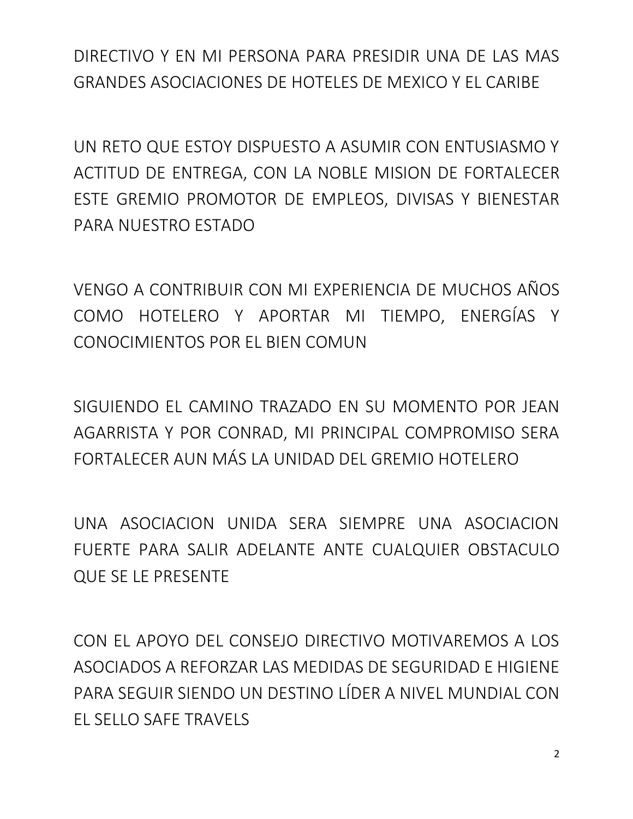DIRECTIVO Y EN MI PERSONA PARA PRESIDIR UNA DE LAS MAS GRANDES ASOCIACIONES DE HOTELES DE MEXICO Y EL CARIBE

UN RETO QUE ESTOY DISPUESTO A ASUMIR CON ENTUSIASMO Y ACTITUD DE ENTREGA, CON LA NOBLE MISION DE FORTALECER ESTE GREMIO PROMOTOR DE EMPLEOS, DIVISAS Y BIENESTAR PARA NUESTRO ESTADO

VENGO A CONTRIBUIR CON MI EXPERIENCIA DE MUCHOS AÑOS COMO HOTELERO Y APORTAR MI TIEMPO, ENERGÍAS Y CONOCIMIENTOS POR EL BIEN COMUN

SIGUIENDO EL CAMINO TRAZADO EN SU MOMENTO POR JEAN AGARRISTA Y POR CONRAD, MI PRINCIPAL COMPROMISO SERA FORTALECER AUN MÁS LA UNIDAD DEL GREMIO HOTELERO

UNA ASOCIACION UNIDA SERA SIEMPRE UNA ASOCIACION FUERTE PARA SALIR ADELANTE ANTE CUALQUIER OBSTACULO QUE SE LE PRESENTE

CON EL APOYO DEL CONSEJO DIRECTIVO MOTIVAREMOS A LOS ASOCIADOS A REFORZAR LAS MEDIDAS DE SEGURIDAD E HIGIENE PARA SEGUIR SIENDO UN DESTINO LÍDER A NIVEL MUNDIAL CON EL SELLO SAFE TRAVELS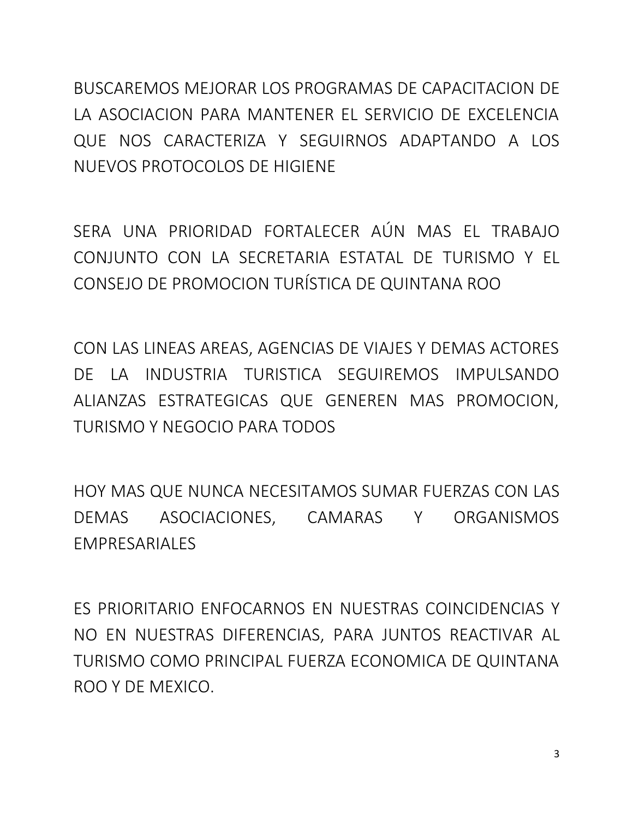BUSCAREMOS MEJORAR LOS PROGRAMAS DE CAPACITACION DE LA ASOCIACION PARA MANTENER EL SERVICIO DE EXCELENCIA QUE NOS CARACTERIZA Y SEGUIRNOS ADAPTANDO A LOS NUEVOS PROTOCOLOS DE HIGIENE

SERA UNA PRIORIDAD FORTALECER AÚN MAS EL TRABAJO CONJUNTO CON LA SECRETARIA ESTATAL DE TURISMO Y EL CONSEJO DE PROMOCION TURÍSTICA DE QUINTANA ROO

CON LAS LINEAS AREAS, AGENCIAS DE VIAJES Y DEMAS ACTORES DE LA INDUSTRIA TURISTICA SEGUIREMOS IMPULSANDO ALIANZAS ESTRATEGICAS QUE GENEREN MAS PROMOCION, TURISMO Y NEGOCIO PARA TODOS

HOY MAS QUE NUNCA NECESITAMOS SUMAR FUERZAS CON LAS DEMAS ASOCIACIONES, CAMARAS Y ORGANISMOS EMPRESARIALES

ES PRIORITARIO ENFOCARNOS EN NUESTRAS COINCIDENCIAS Y NO EN NUESTRAS DIFERENCIAS, PARA JUNTOS REACTIVAR AL TURISMO COMO PRINCIPAL FUERZA ECONOMICA DE QUINTANA ROO Y DE MEXICO.